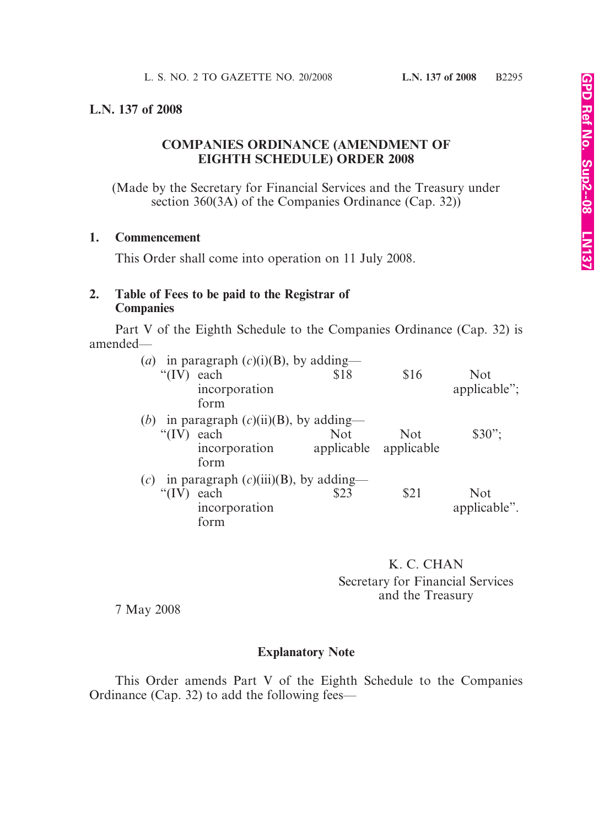## **L.N. 137 of 2008**

# **COMPANIES ORDINANCE (AMENDMENT OF EIGHTH SCHEDULE) ORDER 2008**

(Made by the Secretary for Financial Services and the Treasury under section 360(3A) of the Companies Ordinance (Cap. 32))

#### **1. Commencement**

This Order shall come into operation on 11 July 2008.

## **2. Table of Fees to be paid to the Registrar of Companies**

Part V of the Eighth Schedule to the Companies Ordinance (Cap. 32) is amended—

| $\left( a\right)$ | in paragraph $(c)(i)(B)$ , by adding—   |               |            |                       |              |
|-------------------|-----------------------------------------|---------------|------------|-----------------------|--------------|
|                   | " $(IV)$                                | each          | \$18       | \$16                  | <b>Not</b>   |
|                   |                                         | incorporation |            |                       | applicable"; |
|                   |                                         | form          |            |                       |              |
| ( <i>b</i> )      | in paragraph $(c)(ii)(B)$ , by adding—  |               |            |                       |              |
|                   | " $(IV)$ each                           |               | <b>Not</b> | <b>Not</b>            | $$30$ ";     |
|                   |                                         | incorporation |            | applicable applicable |              |
|                   |                                         | form          |            |                       |              |
| (c)               | in paragraph $(c)(iii)(B)$ , by adding— |               |            |                       |              |
|                   | " $(IV)$                                | each          | \$23       | \$21                  | <b>Not</b>   |
|                   |                                         | incorporation |            |                       | applicable". |
|                   |                                         | form          |            |                       |              |

K. C. CHAN Secretary for Financial Services and the Treasury

7 May 2008

# **Explanatory Note**

This Order amends Part V of the Eighth Schedule to the Companies Ordinance (Cap. 32) to add the following fees—